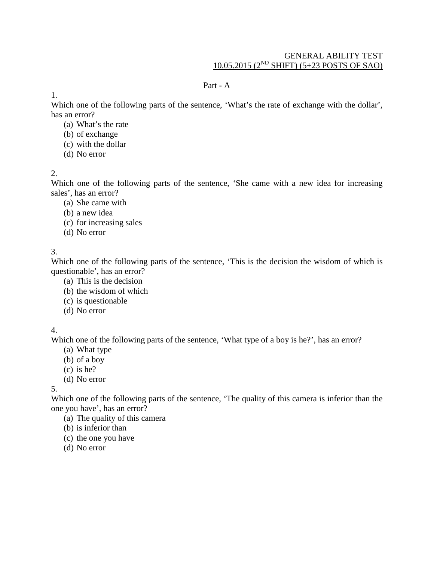### GENERAL ABILITY TEST 10.05.2015 (2ND SHIFT) (5+23 POSTS OF SAO)

### Part - A

1.

Which one of the following parts of the sentence, 'What's the rate of exchange with the dollar', has an error?

- (a) What's the rate
- (b) of exchange
- (c) with the dollar
- (d) No error

## 2.

Which one of the following parts of the sentence, 'She came with a new idea for increasing sales', has an error?

- (a) She came with
- (b) a new idea
- (c) for increasing sales
- (d) No error

3.

Which one of the following parts of the sentence, 'This is the decision the wisdom of which is questionable', has an error?

- (a) This is the decision
- (b) the wisdom of which
- (c) is questionable
- (d) No error

# 4.

Which one of the following parts of the sentence, 'What type of a boy is he?', has an error?

- (a) What type
- (b) of a boy
- (c) is he?
- (d) No error

5.

Which one of the following parts of the sentence, 'The quality of this camera is inferior than the one you have', has an error?

- (a) The quality of this camera
- (b) is inferior than
- (c) the one you have
- (d) No error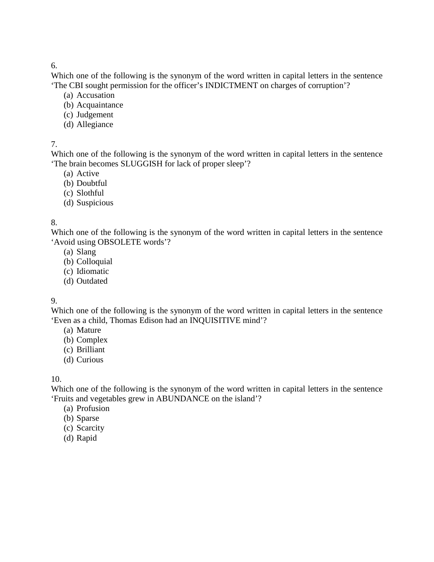Which one of the following is the synonym of the word written in capital letters in the sentence 'The CBI sought permission for the officer's INDICTMENT on charges of corruption'?

- (a) Accusation
- (b) Acquaintance
- (c) Judgement
- (d) Allegiance

### 7.

Which one of the following is the synonym of the word written in capital letters in the sentence 'The brain becomes SLUGGISH for lack of proper sleep'?

- (a) Active
- (b) Doubtful
- (c) Slothful
- (d) Suspicious

### 8.

Which one of the following is the synonym of the word written in capital letters in the sentence 'Avoid using OBSOLETE words'?

- (a) Slang
- (b) Colloquial
- (c) Idiomatic
- (d) Outdated

### 9.

Which one of the following is the synonym of the word written in capital letters in the sentence 'Even as a child, Thomas Edison had an INQUISITIVE mind'?

- (a) Mature
- (b) Complex
- (c) Brilliant
- (d) Curious

### 10.

Which one of the following is the synonym of the word written in capital letters in the sentence 'Fruits and vegetables grew in ABUNDANCE on the island'?

- (a) Profusion
- (b) Sparse
- (c) Scarcity
- (d) Rapid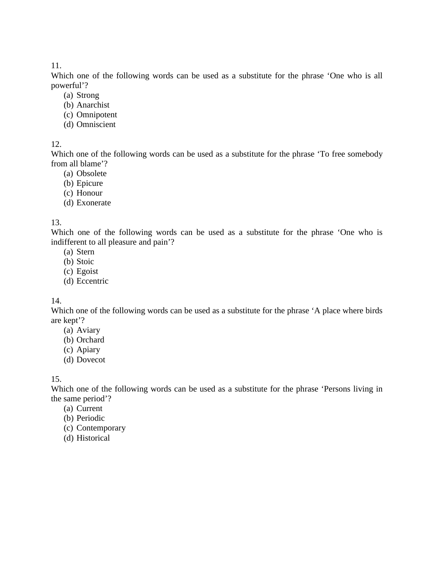Which one of the following words can be used as a substitute for the phrase 'One who is all powerful'?

- (a) Strong
- (b) Anarchist
- (c) Omnipotent
- (d) Omniscient

### 12.

Which one of the following words can be used as a substitute for the phrase 'To free somebody from all blame'?

- (a) Obsolete
- (b) Epicure
- (c) Honour
- (d) Exonerate

### 13.

Which one of the following words can be used as a substitute for the phrase 'One who is indifferent to all pleasure and pain'?

- (a) Stern
- (b) Stoic
- (c) Egoist
- (d) Eccentric

### 14.

Which one of the following words can be used as a substitute for the phrase 'A place where birds are kept'?

- (a) Aviary
- (b) Orchard
- (c) Apiary
- (d) Dovecot

### 15.

Which one of the following words can be used as a substitute for the phrase 'Persons living in the same period'?

- (a) Current
- (b) Periodic
- (c) Contemporary
- (d) Historical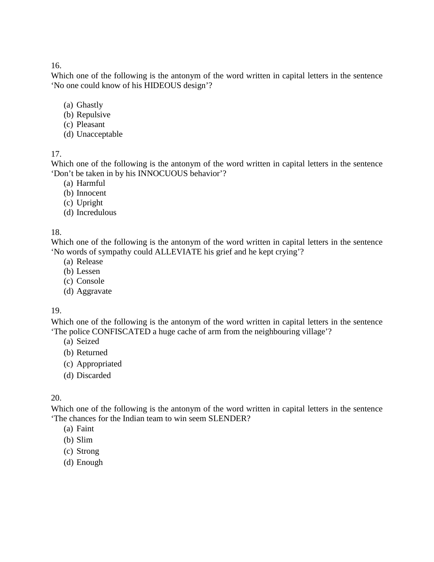Which one of the following is the antonym of the word written in capital letters in the sentence 'No one could know of his HIDEOUS design'?

- (a) Ghastly
- (b) Repulsive
- (c) Pleasant
- (d) Unacceptable

17.

Which one of the following is the antonym of the word written in capital letters in the sentence 'Don't be taken in by his INNOCUOUS behavior'?

- (a) Harmful
- (b) Innocent
- (c) Upright
- (d) Incredulous

## 18.

Which one of the following is the antonym of the word written in capital letters in the sentence 'No words of sympathy could ALLEVIATE his grief and he kept crying'?

- (a) Release
- (b) Lessen
- (c) Console
- (d) Aggravate

### 19.

Which one of the following is the antonym of the word written in capital letters in the sentence 'The police CONFISCATED a huge cache of arm from the neighbouring village'?

- (a) Seized
- (b) Returned
- (c) Appropriated
- (d) Discarded

## 20.

Which one of the following is the antonym of the word written in capital letters in the sentence 'The chances for the Indian team to win seem SLENDER?

- (a) Faint
- (b) Slim
- (c) Strong
- (d) Enough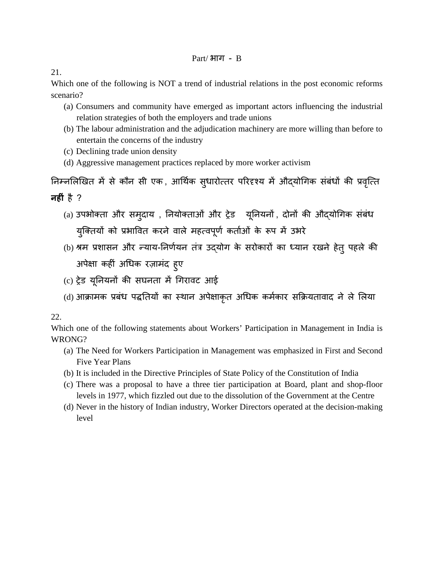Which one of the following is NOT a trend of industrial relations in the post economic reforms scenario?

- (a) Consumers and community have emerged as important actors influencing the industrial relation strategies of both the employers and trade unions
- (b) The labour administration and the adjudication machinery are more willing than before to entertain the concerns of the industry
- (c) Declining trade union density
- (d) Aggressive management practices replaced by more worker activism

निम्नलिखित में से कौन सी एक , आर्थिक सुधारोत्तर परिदृश्य में औद्योगिक सबधों की प्रवृत्ति **नह�ं** है ?

- (a) उपभोक्ता और समुदाय, नियोक्ताओं और ट्रेड यूनियनों, दोनों की औद्योगिक संबंध युक्तियों को प्रभावित करने वाले महत्वपूर्ण कर्ताओं के रूप में उभरे
- (b) श्रम प्रशासन और न्याय-निर्णयन तंत्र उद्योग के सरोकारों का ध्यान रखने हेत् पहले की अपेक्षा कहीं अधिक रज़ामंद हुए
- (c) ट्रेड यूनियनों की सघनता में गिरावट आई
- (d) आक्रामक प्रबंध पद्धतियों का स्थान अपेक्षाक़त अधिक कर्मकार सक्रियतावाद ने ले लिया

22.

Which one of the following statements about Workers' Participation in Management in India is WRONG?

- (a) The Need for Workers Participation in Management was emphasized in First and Second Five Year Plans
- (b) It is included in the Directive Principles of State Policy of the Constitution of India
- (c) There was a proposal to have a three tier participation at Board, plant and shop-floor levels in 1977, which fizzled out due to the dissolution of the Government at the Centre
- (d) Never in the history of Indian industry, Worker Directors operated at the decision-making level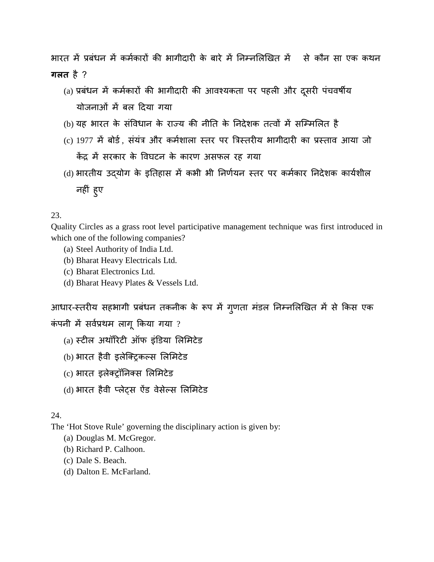भारत में प्रबंधन में कर्मकारों की भागीदारी के बारे में निम्नलिखित में से कौन सा एक कथन **गलत** है ?

- (a) प्रबंधन में कर्मकारों की भागीदारी की आवश्यकता पर पहली और दूसरी पंचवर्षीय योजनाओं में बल दिया गया
- (b) यह भारत के संविधान के राज्य की नीति के निदेशक तत्वों में सम्मिलित है
- (c) 1977 में बोर्ड, संयंत्र और कर्मशाला स्तर पर त्रिस्तरीय भागीदारी का प्रस्ताव आया जो केंद्र में सरकार के विघटन के कारण असफल रह गया
- (d) भारतीय उद्योग के इतिहास में कभी भी निर्णयन स्तर पर कर्मकार निदेशक कार्यशील नह�ं हुए

### 23.

Quality Circles as a grass root level participative management technique was first introduced in which one of the following companies?

- (a) Steel Authority of India Ltd.
- (b) Bharat Heavy Electricals Ltd.
- (c) Bharat Electronics Ltd.
- (d) Bharat Heavy Plates & Vessels Ltd.

आधार-स्तरीय सहभागी प्रबंधन तकनीक के रूप में गृणता मंडल निम्नलिखित में से किस एक कंपनी में सर्वप्रथम लागू किया गया ?

- $(a)$  स्टील अथॉरिटी ऑफ इंडिया लिमिटेड
- (b) भारत हैवी इलेक्ट्रिकल्स लिमिटेड
- (c) भारत इलेक्ट्रॉनिक्स लिमिटेड
- (d) भारत हैवी प्लेट्स ऐंड वेसेल्स लिमिटेड

### 24.

The 'Hot Stove Rule' governing the disciplinary action is given by:

- (a) Douglas M. McGregor.
- (b) Richard P. Calhoon.
- (c) Dale S. Beach.
- (d) Dalton E. McFarland.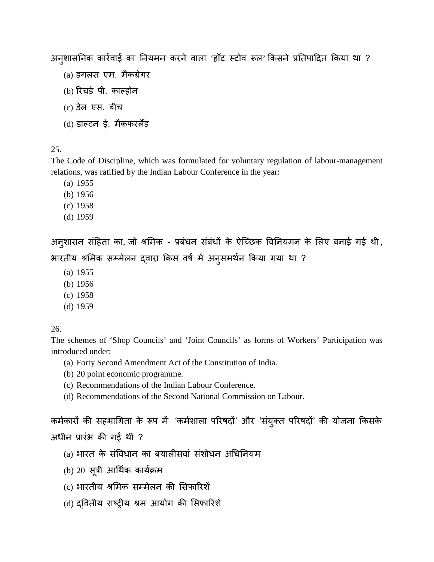अनुशासनिक कार्रवाई का नियमन करने वाला 'हॉट स्टोव रूल' किसने प्रतिपादित किया था ?

- (a) डगलस एम. मैकग्रेगर
- $(b)$  रिचर्ड पी. काल्होन
- (c) डेलएस. बीच
- (d) डाल्टन ई. मैकफरलैंड

### 25.

The Code of Discipline, which was formulated for voluntary regulation of labour-management relations, was ratified by the Indian Labour Conference in the year:

- (a) 1955
- (b) 1956
- (c) 1958
- (d) 1959

अनुशासन संहिता का, जो श्रमिक - प्रबंधन संबंधों के ऐच्छिक विनियमन के लिए बनाई गई थी, भारतीय श्रमिक सम्मेलन दवारा किस वर्ष में अनुसमर्थन किया गया था ?

- (a) 1955
- (b) 1956
- (c) 1958
- (d) 1959

#### 26.

The schemes of 'Shop Councils' and 'Joint Councils' as forms of Workers' Participation was introduced under:

- (a) Forty Second Amendment Act of the Constitution of India.
- (b) 20 point economic programme.
- (c) Recommendations of the Indian Labour Conference.
- (d) Recommendations of the Second National Commission on Labour.

कर्मकारों की सहभागिता के रूप में 'कर्मशाला परिषदों' और 'संयुक्त परिषदों' की योजना किसके अधीन प्रारंभ की गई थी ?

- (a) भारत के संविधान का बयालीसवां संशोधन अधिनियम
- (b) 20 सूत्री
- (c) भारतीय श्रमिक सम्मेलन की सिफारिशें
- (d) दवितीय राष्ट्रीय श्रम आयोग की सिफारिशें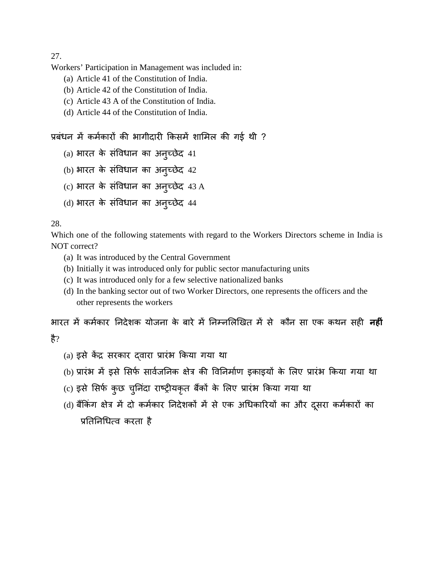Workers' Participation in Management was included in:

- (a) Article 41 of the Constitution of India.
- (b) Article 42 of the Constitution of India.
- (c) Article 43 A of the Constitution of India.
- (d) Article 44 of the Constitution of India.

```
प्रबंधन में कर्मकारों की भागीदारी किसमें शामिल की गई थी ?
```
- (a) भारत के सर्विधान का अनुच्छेद 41
- (b) भारत के सविधान का अनुच्छेद 42
- (c) भारत के संविधान का अनुच्छेद 43.A
- (d) भारत के संविधान का अनुच्छेद 44

### 28.

Which one of the following statements with regard to the Workers Directors scheme in India is NOT correct?

- (a) It was introduced by the Central Government
- (b) Initially it was introduced only for public sector manufacturing units
- (c) It was introduced only for a few selective nationalized banks
- (d) In the banking sector out of two Worker Directors, one represents the officers and the other represents the workers

भारत में कर्मकार निदेशक योजना के बारे में निम्नलिखित में से कौन सा एक कथन सही **नहीं** है?

- (a) इसे केंद्र सरकार दवारा प्रारंभ किया गया था
- (b) प्रारंभ में इसे सिर्फ सार्वजनिक क्षेत्र की विनिर्माण इकाइयों के लिए प्रारंभ किया गया था
- (c) इसे सिर्फ कुछ चुनिंदा राष्ट्रीयकृत बैंकों के लिए प्रारंभ किया गया था
- (d) बैंकिंग क्षेत्र में दो कर्मकार निदेशकों में से एक अधिकारियों का और दूसरा कर्मकारों का प्रतिनिधित्व करता है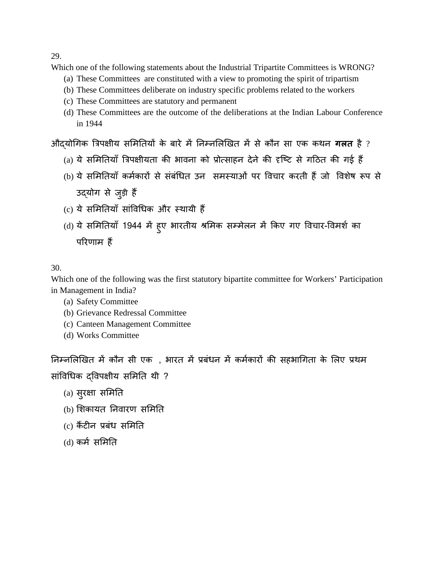Which one of the following statements about the Industrial Tripartite Committees is WRONG?

- (a) These Committees are constituted with a view to promoting the spirit of tripartism
- (b) These Committees deliberate on industry specific problems related to the workers
- (c) These Committees are statutory and permanent
- (d) These Committees are the outcome of the deliberations at the Indian Labour Conference in 1944

औदयोगिक त्रिपक्षीय समितियों के बारे में निम्नलिखित में से कौन सा एक कथन **गलत** है ?

- (a) ये समितियाँ त्रिपक्षीयता की भावना को प्रोत्साहन देने की दृष्टि से गठित की गई हैं
- (b) ये समितियाँ कर्मकारों से संबंधित उन समस्याओं पर विचार करती हैं जो विशेष रूप से उद्योग से जुड़ी हैं
- (c) ये समितियाँ सांविधिक और स्थायी हैं
- (d) ये समितियाँ 1944 में हुए भारतीय श्रमिक सम्मेलन में किए गए विचार-विमर्श का परिणाम $\,$ हैं

### 30.

Which one of the following was the first statutory bipartite committee for Workers' Participation in Management in India?

- (a) Safety Committee
- (b) Grievance Redressal Committee
- (c) Canteen Management Committee
- (d) Works Committee

निम्नलिखित में कौन सी एक , भारत में प्रबंधन में कर्मकारों की सहभागिता के लिए प्रथम सांविधिक दविपक्षीय समिति थी ?

- (a)सुर�ा सम�त
- (b) शिकायत निवारण समिति
- $(c)$  कैंटीन प्रबंध समिति
- $(d)$ कर्म समिति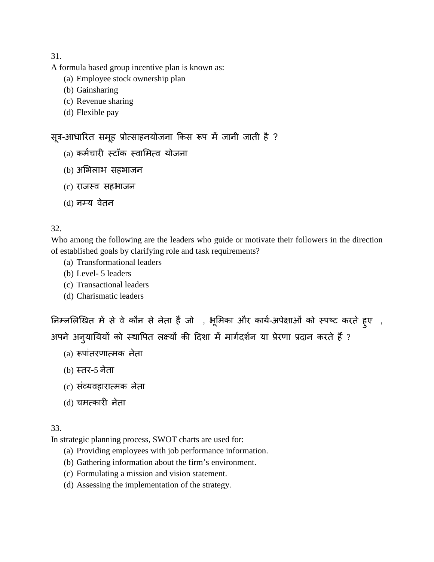A formula based group incentive plan is known as:

- (a) Employee stock ownership plan
- (b) Gainsharing
- (c) Revenue sharing
- (d) Flexible pay

# सूत्र-आधारित समूह प्रोत्साहनयोजना किस रूप में जानी जाती है ?

- (a) कर्मचारी स्टॉक स्वामित्व योजना
- (b) अभिलाभ सहभाजन
- (c) राजस्व सहभाजन
- (d) नम्य वेतन

### 32.

Who among the following are the leaders who guide or motivate their followers in the direction of established goals by clarifying role and task requirements?

- (a) Transformational leaders
- (b) Level- 5 leaders
- (c) Transactional leaders
- (d) Charismatic leaders

निम्नलिखित में से वे कौन से नेता हैं जो , भूमिका और कार्य-अपेक्षाओं को स्पष्ट करते हुए , अपने अन्**यायियों को स्थापित लक्ष्यों की दिशा में** मार्गदर्शन या प्रेरणा प्रदान करते हैं ?

- (a) रूपांतरणात्मक नेत
- (b) स्तर-5 नेता
- (c)संव्यवहारात्मक नेत
- (d) चमत्कारी नेता

### 33.

In strategic planning process, SWOT charts are used for:

- (a) Providing employees with job performance information.
- (b) Gathering information about the firm's environment.
- (c) Formulating a mission and vision statement.
- (d) Assessing the implementation of the strategy.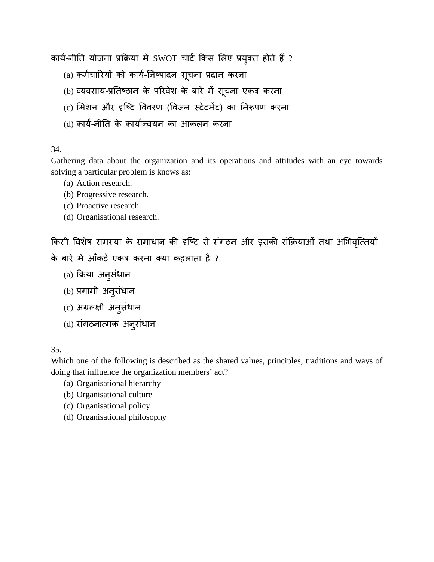कार्य-नीति योजना प्रक्रिया में SWOT चार्ट किस लिए प्रयुक्त होते हैं ?

- (a) कर्मचारियों को कार्य-निष्पादन सूचना प्रदान करना
- (b) व्यवसाय-प्रतिष्ठान के परिवेश के बारे में सूचना एकत्र करना
- (c) मिशन और दृष्टि विवरण (विज़न स्टेटमेंट) का निरूपण करना
- (d) कार्य-नीति के कार्यान्वयन का आकलन करना

### 34.

Gathering data about the organization and its operations and attitudes with an eye towards solving a particular problem is knows as:

- (a) Action research.
- (b) Progressive research.
- (c) Proactive research.
- (d) Organisational research.

किसी विशेष समस्या के समाधान की दृष्टि से संगठन और इसकी संक्रियाओं तथा अभिवृत्तियों के बारे में आँकड़े एकत्र करना क्या कहलाता है ?

- (a) क्रया अनुसंधा
- (b) प्रगामी अनुसंधा
- (c) अग्रलक्षी अनुसंधान
- (d)संगठनात्मक अनुसंधान

### 35.

Which one of the following is described as the shared values, principles, traditions and ways of doing that influence the organization members' act?

- (a) Organisational hierarchy
- (b) Organisational culture
- (c) Organisational policy
- (d) Organisational philosophy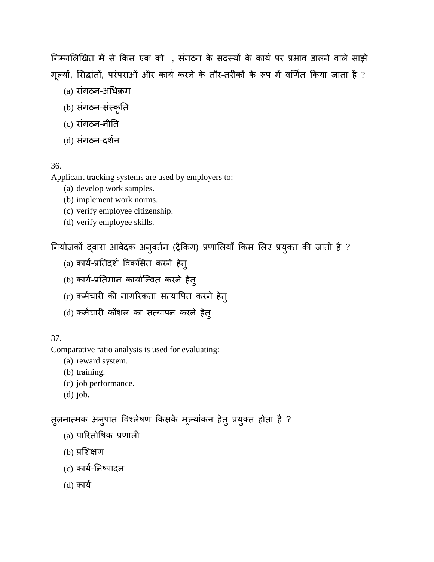निम्नलिखित में से किस एक को, संगठन के सदस्यों के कार्य पर प्रभाव डालने वाले साझे मूल्यो, सिद्धांतो, परंपराओं और कार्य करने के तौर-तरीकों के रूप में वर्णित किया जाता है ?

- (a) संगठन-अधिक्रम
- (b)संगठन-संस्कृत
- (c)संगठन-नी�त
- (d) संगठन-दर्शन

## 36.

Applicant tracking systems are used by employers to:

- (a) develop work samples.
- (b) implement work norms.
- (c) verify employee citizenship.
- (d) verify employee skills.

नियोजकों दवारा आवेदक अनुवर्तन (ट्रैकिंग) प्रणालियाँ किस लिए प्रयुक्त की जाती है ?

- (a) कार्य-प्रतिदर्श विकसित करने हेत्
- (b) कार्य-प्रतिमान कार्यान्वित करने हेत्
- (c) कर्मचारी की नागरिकता सत्यापित करने हेत्
- (d) कर्मचारी कौशल का सत्यापन करने हेत्

## 37.

Comparative ratio analysis is used for evaluating:

- (a) reward system.
- (b) training.
- (c) job performance.
- (d) job.

तुलनात्मक अनुपात विश्लेषण किसके मूल्यांकन हेतु प्रयुक्त होता है ?

- $(a)$  पारितोषिक प्रणाली
- $(b)$  प्रशिक्षण
- (c) कार्य-निष्पादन
- (d)कायर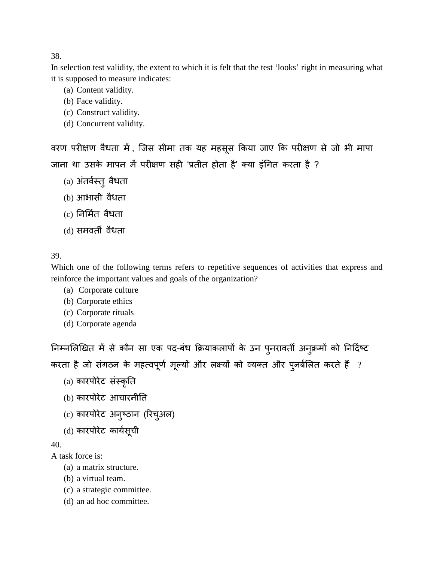In selection test validity, the extent to which it is felt that the test 'looks' right in measuring what it is supposed to measure indicates:

- (a) Content validity.
- (b) Face validity.
- (c) Construct validity.
- (d) Concurrent validity.

वरण परीक्षण वैधता में , जिस सीमा तक यह महसूस किया जाए कि परीक्षण से जो भी मापा जाना था उसके मापन में परीक्षण सही 'प्रतीत होता है' क्या इंगित करता है ?

- (a) अंतर्वस्तु वैधता
- (b) आभासी वैधता
- (c) �नम्तर वैधता
- (d) समवर्ती वैधता

# 39.

Which one of the following terms refers to repetitive sequences of activities that express and reinforce the important values and goals of the organization?

- (a) Corporate culture
- (b) Corporate ethics
- (c) Corporate rituals
- (d) Corporate agenda

निम्नलिखित में से कौन सा एक पद-बंध क्रियाकलापों के उन पुनरावर्ती अनुक्रमों को निर्दिष्ट करता है जो संगठन के महत्वपूर्ण मूल्यों और लक्ष्यों को व्यक्त और पुनर्बलित करते हैं ?

- (a)कारपोरेट संस्कृ
- (b)कारपोरेट आचारनी�त
- (c) कारपोरेट अनुष्ठान (रिचुअल)
- (d) कारपोरेट कार्यसूची

40.

- A task force is:
	- (a) a matrix structure.
	- (b) a virtual team.
	- (c) a strategic committee.
	- (d) an ad hoc committee.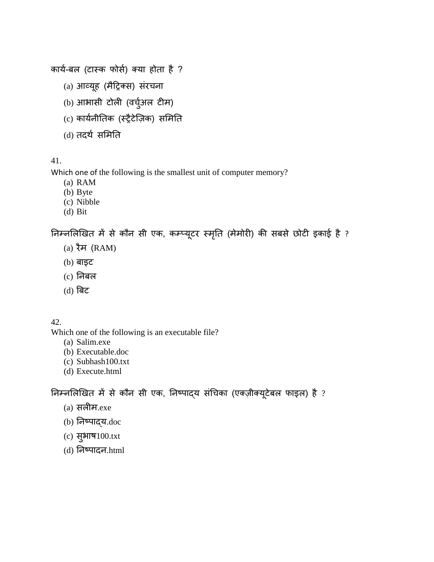```
कार्य-बल (टास्क फोर्स) क्या होता है ?
```
- (a) आव्यूह (मैट्रिक्स) संरचना
- (b) आभासी टोली (वर्चुअल टीम)
- (c) कार्यनीतिक (स्ट्रैटेज़िक) समिति
- (d) तदर्थ समिति

Which one of the following is the smallest unit of computer memory?

- (a) RAM
- (b) Byte
- (c) Nibble
- (d) Bit

निम्नलिखित में से कौन सी एक, कम्प्यूटर स्मृति (मेमोरी) की सबसे छोटी इकाई है ?

- (a) रैम (RAM)
- (b) बाइट
- $(c)$  निबल
- (d)बट

42.

Which one of the following is an executable file?

- (a) Salim.exe
- (b) Executable.doc
- (c) Subhash100.txt
- (d) Execute.html

निम्नलिखित में से कौन सी एक, निष्पाद्य संचिका (एक्ज़ीक्यूटेबल फाइल) है ?

- (a)सल�म.exe
- $(b)$  निष्पाद्य.doc
- (c)सुभाष100.txt
- $(d)$  निष्पादन.html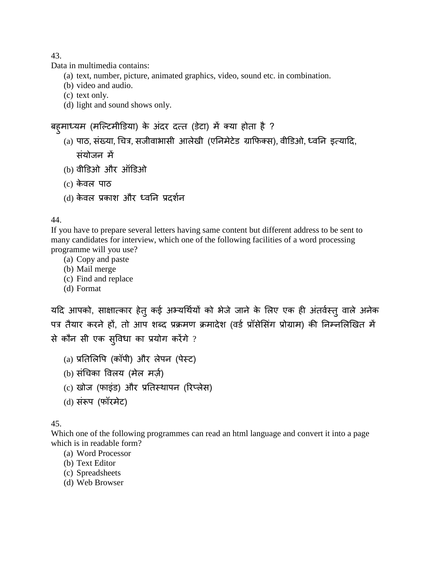Data in multimedia contains:

- (a) text, number, picture, animated graphics, video, sound etc. in combination.
- (b) video and audio.
- (c) text only.
- (d) light and sound shows only.

### बह़माध्यम (मल्टिमीडिया) के अंदर दत्त (डेटा) में क्या होता है ?

- (a) पाठ, संख्या, चित्र, सजीवाभासी आलेखी (एनिमेटेड ग्राफिक्स), वीडिओ, ध्वनि इत्यादि, संयोजन में
- (b) वीडिओ और ऑडिओ
- (c)केवल पाठ
- (d) केवल प्रकाश और ध्वनि प्रदर्शन

#### 44.

If you have to prepare several letters having same content but different address to be sent to many candidates for interview, which one of the following facilities of a word processing programme will you use?

- (a) Copy and paste
- (b) Mail merge
- (c) Find and replace
- (d) Format

यदि आपको, साक्षात्कार हेतु कई अभ्यर्थियों को भेजे जाने के लिए एक ही अंतर्वस्तु वाले अनेक पत्र तैयार करने हों, तो आप शब्द प्रक्रमण क्रमादेश (वर्ड प्रॉसेसिंग प्रोग्राम) की निम्नलिखित में से कौन सी एक सुविधा का प्रयोग करेंगे ?

- (a) प्रतिलिपि (कॉपी) और लेपन (पेस्ट)
- (b) संचिका विलय (मेल मर्ज़)
- (c) खोज (फाइंड) और प्रतिस्थापन (रिप्लेस)
- (d) संरूप (फॉरमेट)

### 45.

Which one of the following programmes can read an html language and convert it into a page which is in readable form?

- (a) Word Processor
- (b) Text Editor
- (c) Spreadsheets
- (d) Web Browser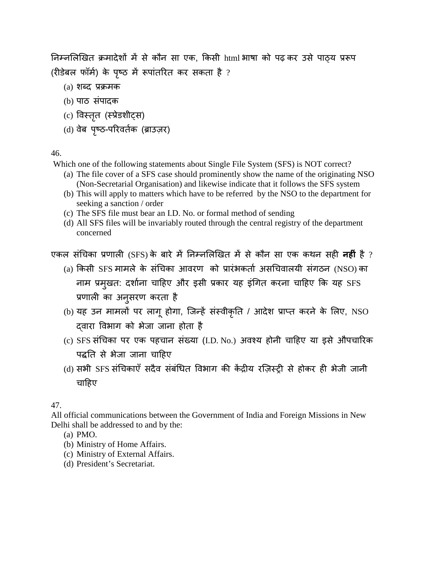निम्नलिखित क्रमादेशों में से कौन सा एक, किसी html भाषा को पढ़ कर उसे पाठ्य प्ररूप (रीडेबल फॉर्म) के पृष्ठ में रूपांतरित कर सकता है ?

- $(a)$  शब्द प्रक्रमक
- (b) पाठ संपादक
- (c) विस्तृत (स्प्रेडशीट्स)
- (d) वेब पृष्ठ-परिवर्तक (ब्राउज़र)

### 46.

Which one of the following statements about Single File System (SFS) is NOT correct?

- (a) The file cover of a SFS case should prominently show the name of the originating NSO (Non-Secretarial Organisation) and likewise indicate that it follows the SFS system
- (b) This will apply to matters which have to be referred by the NSO to the department for seeking a sanction / order
- (c) The SFS file must bear an I.D. No. or formal method of sending
- (d) All SFS files will be invariably routed through the central registry of the department concerned

एकल संचिका प्रणाली (SFS) के बारे में निम्नलिखित में से कौन सा एक कथन सही **नहीं** है ?

- (a) किसी SFS मामले के संचिका आवरण को प्रारंभकर्ता असचिवालयी संगठन (NSO) का नाम प्रमुखत: दर्शाना चाहिए और इसी प्रकार यह इंगित करना चाहिए कि यह SFS प्रणाका अनुसरणकरता है
- (b) यह उन मामलो पर लागू होगा, जिन्हे सस्वीकृति / आदेश प्राप्त करने के लिए, NSO द्वारा वभाग को भेजा जाना होता है
- (c) SFS सं�चका परएकपहचान संख्या(I.D. No.) अवश्य होनी चाहए या इस औपचारक पद्धति से भेजा जाना चाहिए
- (d) सभी SFS संचिकाएँ सदैव संबंधित विभाग की केंद्रीय रज़िस्ट्री से होकर ही भेजी जानी चा�हए

47.

All official communications between the Government of India and Foreign Missions in New Delhi shall be addressed to and by the:

- (a) PMO.
- (b) Ministry of Home Affairs.
- (c) Ministry of External Affairs.
- (d) President's Secretariat.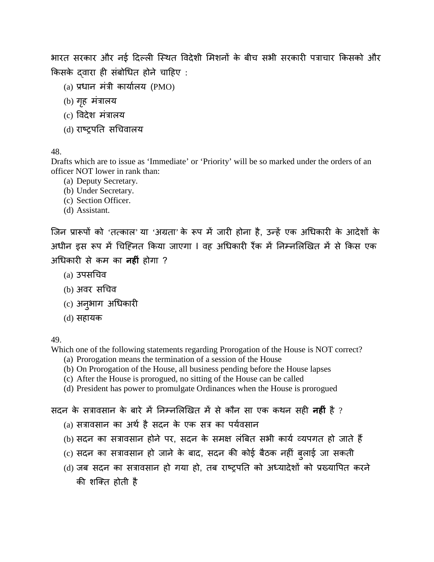भारत सरकार और नई दिल्ली स्थित विदेशी मिशनों के बीच सभी सरकारी पत्राचार किसको और किसके दवारा ही संबोधित होने चाहिए:

- $(a)$  प्रधान मंत्री कार्यालय (PMO)
- $(b)$  गृह मंत्रालय
- (c) विदेश मंत्रालय
- (d) राष्ट्रस�चवालय

### 48.

Drafts which are to issue as 'Immediate' or 'Priority' will be so marked under the orders of an officer NOT lower in rank than:

- (a) Deputy Secretary.
- (b) Under Secretary.
- (c) Section Officer.
- (d) Assistant.

जिन प्रारूपों को 'तत्काल' या 'अग्रता' के रूप में जारी होना है, उन्हें एक अधिकारी के आदेशों के अधीन इस रूप में चिह्नित किया जाएगा I वह अधिकारी रैंक में निम्नलिखित में से किस एक अ�धकार� सेकमका **नह�ं** होगा ?

- (a) उपस�चव
- (b) अवर सचिव
- (c) अनुभाग अधिकारी
- (d)सहायक

### 49.

Which one of the following statements regarding Prorogation of the House is NOT correct?

- (a) Prorogation means the termination of a session of the House
- (b) On Prorogation of the House, all business pending before the House lapses
- (c) After the House is prorogued, no sitting of the House can be called
- (d) President has power to promulgate Ordinances when the House is prorogued

### सदन के सत्रावसान के बारे में निम्नलिखित में से कौन सा एक कथन सह़ी **नहीं** है ?

- (a) सत्रावसान का अर्थ है सदन के एक सत्र का पर्यवसान
- (b) सदन का सत्रावसान होने पर, सदन के समक्ष लंबित सभी कार्य व्यपगत हो जाते हैं
- (c) सदन का सत्रावसान हो जाने के बाद, सदन की कोई बैठक नहीं बुलाई जा सकती
- (d) जब सदन का सत्रावसान हो गया हो, तब राष्ट्रपति को अध्यादेशों को प्रख्यापित करने की शक्ति होती है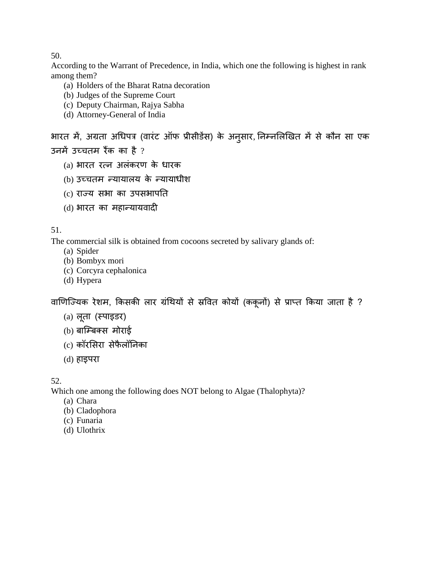According to the Warrant of Precedence, in India, which one the following is highest in rank among them?

- (a) Holders of the Bharat Ratna decoration
- (b) Judges of the Supreme Court
- (c) Deputy Chairman, Rajya Sabha
- (d) Attorney-General of India

भारत में, अग्रता अधिपत्र (वारंट ऑफ प्रीसीडेंस) के अनुसार, निम्नलिखित में से कौन सा एक उनमें उच्चतम रैंक का है  $?$ 

- (a) भारत रत्न अलंकरण के धारक
- (b) उच्चतम न्यायालय के न्यायाधीश
- (c) राज्सभा का उपसभाप�त
- (d) भारत का महान्यायवादी

### 51.

The commercial silk is obtained from cocoons secreted by salivary glands of:

- (a) Spider
- (b) Bombyx mori
- (c) Corcyra cephalonica
- (d) Hypera

वाणिज्यिक रेशम, किसकी लार ग्रंथियों से स्रवित कोयों (ककूनों) से प्राप्त किया जाता है ?

- (a) लूता (स्पाइडर)
- (b) बाम्बिक्स मोराई
- (c)कॉरसरासेफैलॉ�नका
- (d) हाइपरा

52.

Which one among the following does NOT belong to Algae (Thalophyta)?

- (a) Chara
- (b) Cladophora
- (c) Funaria
- (d) Ulothrix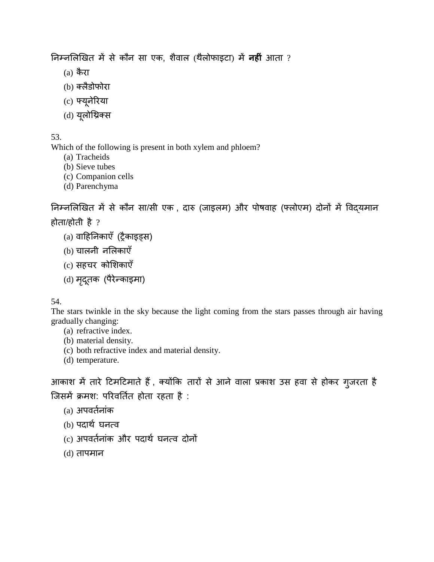�नम्न�ल�खमसेकौन सा एक,शैवाल (थैलोफाइटा)म **नह�ं** आता ?

- $(a)$  कैरा
- (b) क्लैडोफोर
- (c) फ्यूनेरय
- (d) यूलोथ्रिक

53.

Which of the following is present in both xylem and phloem?

- (a) Tracheids
- (b) Sieve tubes
- (c) Companion cells
- (d) Parenchyma

निम्नलिखित में से कौन सा/सी एक , दारु (जाइलम) और पोषवाह (फ्लोएम) दोनों में विदयमान होता/होती है ?

- $(a)$  वाहिनिकाएँ (ट्रैकाइड्स)
- (b) चालनी नलकाएँ
- (c) सहचर कोशिकाएँ
- (d) मृदूतक (पैरेन्काइमा)

54.

The stars twinkle in the sky because the light coming from the stars passes through air having gradually changing:

- (a) refractive index.
- (b) material density.
- (c) both refractive index and material density.
- (d) temperature.

आकाश में तारे टिमटिमाते हैं , क्योंकि तारों से आने वाला प्रकाश उस हवा से होकर गुजरता है जिसमें क्रमश: परिवर्तित होता रहता है:

- (a) अपवत्नांर
- (b) पदाथर घनत्व
- (c) अपवर्तनांक और पदार्थ घनत्व दोनों
- (d) तापमान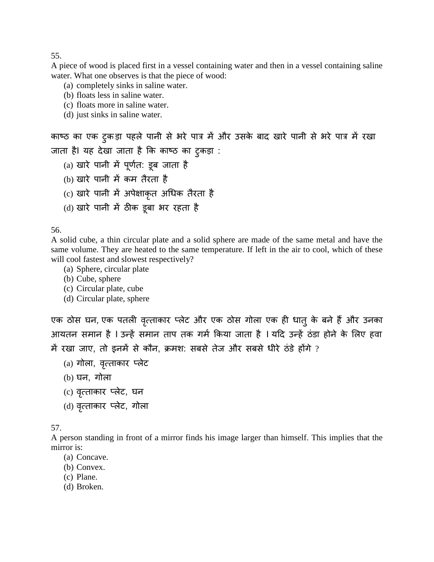A piece of wood is placed first in a vessel containing water and then in a vessel containing saline water. What one observes is that the piece of wood:

- (a) completely sinks in saline water.
- (b) floats less in saline water.
- (c) floats more in saline water.
- (d) just sinks in saline water.

```
काष्ठ का एक ट्रकड़ा पहले पानी से भरे पात्र में और उसके बाद खारे पानी से भरे पात्र में रखा
जाता है। यह देखा जाता है कि काष्ठ का टुकड़ा :
    (a) खारे पानी मे पूर्णत: डूब जाता है  
   (b) खारे पानी में कम तैरता है
   (c) खारे पानी में अपेक्षाकृत अधिक तैरता है
```
(d) खारे पानी में ठीक डूबा भर रहता है

56.

A solid cube, a thin circular plate and a solid sphere are made of the same metal and have the same volume. They are heated to the same temperature. If left in the air to cool, which of these will cool fastest and slowest respectively?

- (a) Sphere, circular plate
- (b) Cube, sphere
- (c) Circular plate, cube
- (d) Circular plate, sphere

एक ठोस घन, एक पतली वृत्ताकार प्लेट और एक ठोस गोला एक ही धात् के बने हैं और उनका आयतन समान है I उन्हें समान ताप तक गर्म किया जाता है I यदि उन्हें ठंडा होने के लिए हवा में रखा जाए, तो इनमें से कौन, क्रमश: सबसे तेज और सबसे धीरे ठंडे होंगे ?

- (a) गोला, वृत्ताकार प्लेट
- (b) घन, गोला
- (c) वृत्ताकार प्लेट, घन
- (d) वृत्ताकार प्लेट, गोला

57.

A person standing in front of a mirror finds his image larger than himself. This implies that the mirror is:

- (a) Concave.
- (b) Convex.
- (c) Plane.
- (d) Broken.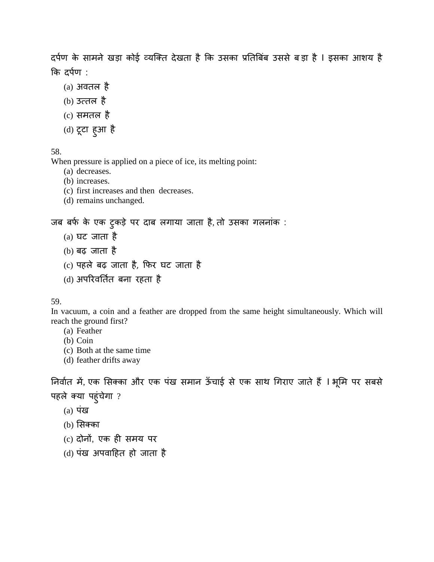दर्पण के सामने खड़ा कोई व्यक्ति देखता है कि उसका प्रतिबिंब उससे बड़ा है I इसका आशय है कि दर्पण :

- (a) अवतल है
- $(b)$  उत्तल है
- (c)समतल है
- (d) टूटा हु आ है

### 58.

When pressure is applied on a piece of ice, its melting point:

- (a) decreases.
- (b) increases.
- (c) first increases and then decreases.
- (d) remains unchanged.

# जब बर्फ के एक टुकड़े पर दाब लगाया जाता है, तो उसका गलनांक:

- (a) घट जाता है
- (b) बढ़ जाता है
- (c) पहले बढ़ जाता है,फर घट जाता है
- (d) अपरव�त्र बना रहता है

#### 59.

In vacuum, a coin and a feather are dropped from the same height simultaneously. Which will reach the ground first?

- (a) Feather
- (b) Coin
- (c) Both at the same time
- (d) feather drifts away

निर्वात में, एक सिक्का और एक पंख समान ऊँचाई से एक साथ गिराए जाते हैं । भूमि पर सबसे पहले क्या पहुंचेगा ?

- $(a)$  पंख
- (b) सक्क
- (c) दोनों, एक ही समय पर
- (d) पंख अपवा�हत हो जाता है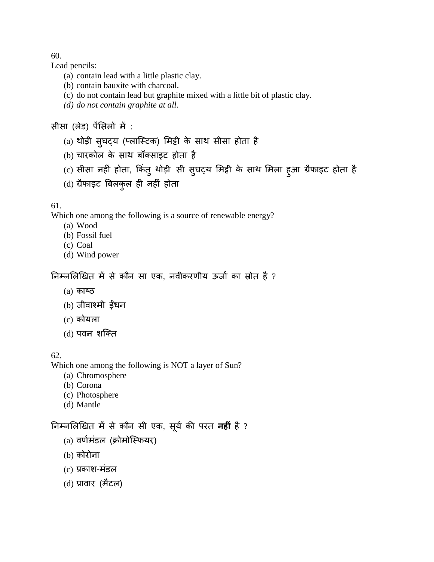Lead pencils:

- (a) contain lead with a little plastic clay.
- (b) contain bauxite with charcoal.
- (c) do not contain lead but graphite mixed with a little bit of plastic clay.
- *(d) do not contain graphite at all.*

# सीसा (लेड) पेंसिलों में :

- (a) थोड़ी सुघट्य (प्लास्टिक) मिट्टी के साथ सीसा होता है
- (b) चारकोल के साथ बॉक्साइट होता है
- (c) सीसा नहीं होता, किंतु थोड़ी सी सुघट्य मिट्टी के साथ मिला हुआ ग्रैफा
- (d) ग्रैफाइट बिलकुल ही नहीं होता

### 61.

Which one among the following is a source of renewable energy?

- (a) Wood
- (b) Fossil fuel
- (c) Coal
- (d) Wind power

# निम्नलिखित में से कौन सा एक, नवीकरणीय ऊर्जा का स्रोत है ?

- $(a)$  काष्ठ
- $(b)$  जीवाश्मी ईंधन
- (c)कोयला
- (d) पवन शक्ति

## 62.

Which one among the following is NOT a layer of Sun?

- (a) Chromosphere
- (b) Corona
- (c) Photosphere
- (d) Mantle

# निम्नलिखित में से कौन सी एक, सूर्य की परत **नही** है ?

- (a) वर्णमंडल (क्रोमोस्फियर)
- (b)कोरोना
- $(c)$  प्रकाश-मंडल
- (d) प्रावार (मैंटल)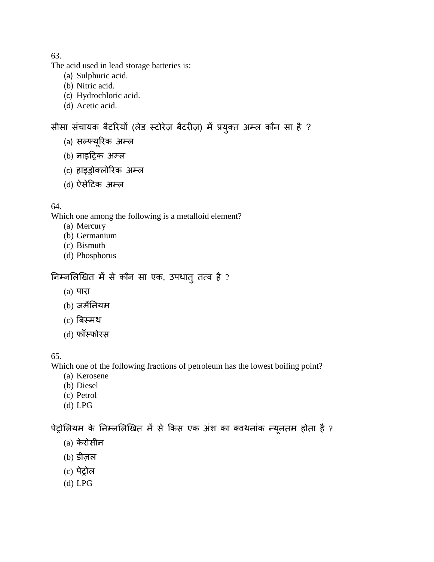The acid used in lead storage batteries is:

- (a) Sulphuric acid.
- (b) Nitric acid.
- (c) Hydrochloric acid.
- (d) Acetic acid.

# सीसा संचायक बैटरियों (लेड स्टोरेज़ बैटरीज़) में प्रयुक्त अम्ल कौन सा है ?

- (a) सल्फ्यूरिक अम्ल
- (b) नाइट्रिक अम्ल
- (c) हाइड्रोक्लो अम्ल
- (d) ऐसे�टक अम्ल

### 64.

Which one among the following is a metalloid element?

- (a) Mercury
- (b) Germanium
- (c) Bismuth
- (d) Phosphorus

# निम्नलिखित में से कौन सा एक, उपधातु तत्व है ?

- (a) पारा
- (b) जम��नयम
- (c)बस्म
- (d) फॉस्फोर

### 65.

Which one of the following fractions of petroleum has the lowest boiling point?

- (a) Kerosene
- (b) Diesel
- (c) Petrol
- (d) LPG

पेट्रोलियम के निम्नलिखित में से किस एक अंश का क्वथनांक न्यूनतम होता है ?

- (a)केरोसीन
- (b) डीज़ल
- (c) पेट्र
- (d) LPG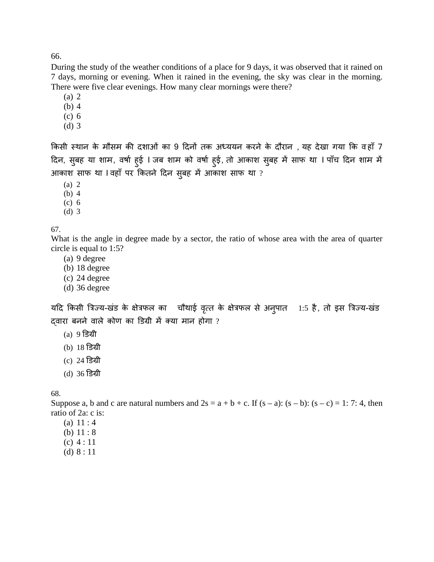During the study of the weather conditions of a place for 9 days, it was observed that it rained on 7 days, morning or evening. When it rained in the evening, the sky was clear in the morning. There were five clear evenings. How many clear mornings were there?

- (a) 2
- (b) 4
- (c) 6
- (d) 3

किसी स्थान के मौसम की दशाओं का 9 दिनों तक अध्ययन करने के दौरान , यह देखा गया कि वहाँ 7 दिन, सुबह या शाम, वर्षा हुई I जब शाम को वर्षा हुई, तो आकाश सुबह में साफ था I पाँच दिन शाम में आकाश साफ था I वहाँ पर कितने दिन सुबह में आकाश साफ था ?

- (a) 2
- (b) 4
- (c) 6
- (d) 3

67.

What is the angle in degree made by a sector, the ratio of whose area with the area of quarter circle is equal to 1:5?

- (a) 9 degree
- (b) 18 degree
- (c) 24 degree
- (d) 36 degree

यदि किसी त्रिज्य-खंड के क्षेत्रफल का चौथाई वृत्त के क्षेत्रफल से अनुपात 1:5 है, तो इस त्रिज्य-खंड दवारा बनने वाले कोण का डिग्री में क्या मान होगा ?

- $(a)$  9 डिग्री
- (b) 18 डग्
- $(c)$  24 डिग्री
- (d) 36 डग्

68.

Suppose a, b and c are natural numbers and  $2s = a + b + c$ . If  $(s - a)$ :  $(s - b)$ :  $(s - c) = 1$ : 7: 4, then ratio of 2a: c is:

- (a) 11 : 4
- (b) 11 : 8
- (c) 4 : 11
- (d) 8 : 11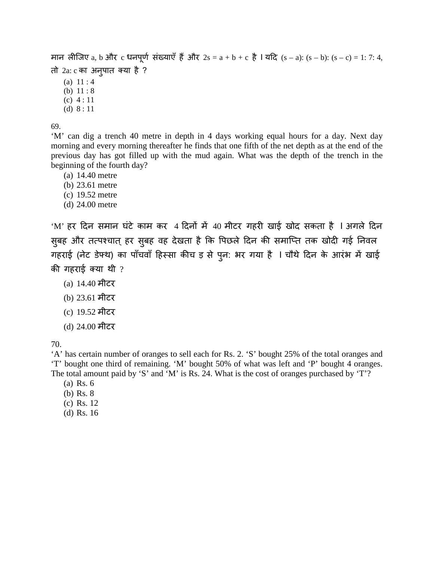```
मान लीजिए a, b और c धनपूर्ण संख्याएँ हैं और 2s = a + b + c है l यदि (s - a): (s - b): (s - c) = 1: 7: 4,
तो 2a: c का अनुपात क्या है?
```
- (a)  $11:4$
- (b) 11 : 8
- (c) 4 : 11
- (d) 8 : 11

'M' can dig a trench 40 metre in depth in 4 days working equal hours for a day. Next day morning and every morning thereafter he finds that one fifth of the net depth as at the end of the previous day has got filled up with the mud again. What was the depth of the trench in the beginning of the fourth day?

- (a) 14.40 metre
- (b) 23.61 metre
- (c) 19.52 metre
- (d) 24.00 metre

 $^{\circ}$ M' हर दिन समान घंटे काम कर 4 दिनों में 40 मीटर गहरी खाई खोद सकता है I अगले दिन सुबह और तत्पश्चात् हर सुबह वह देखता है कि पिछले दिन की समाप्ति तक खोदी गई निवल गहराई (नेट डेफ्थ) का पाँचवाँ हिस्सा कीच इ से पुन: भर गया है । चौथे दिन के आरंभ में खाई की गहराई क्या थी  $?$ 

- (a) 14.40 मीटर
- (b) 23.61 मीटर
- (c) 19.52 मीटर
- (d) 24.00 मीटर

70.

'A' has certain number of oranges to sell each for Rs. 2. 'S' bought 25% of the total oranges and 'T' bought one third of remaining. 'M' bought 50% of what was left and 'P' bought 4 oranges. The total amount paid by 'S' and 'M' is Rs. 24. What is the cost of oranges purchased by 'T'?

- (a) Rs. 6
- (b) Rs. 8
- (c) Rs. 12
- (d) Rs. 16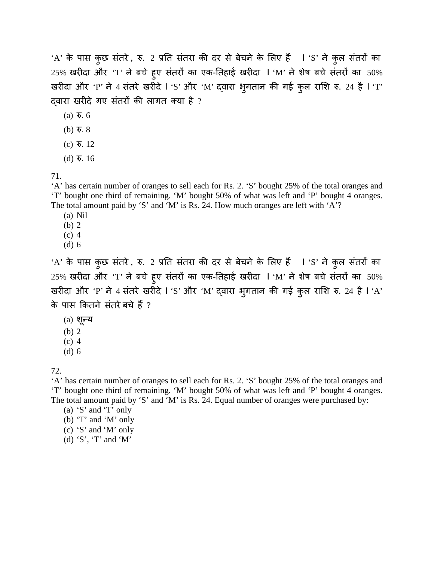'A' के पास कुछ संतरे, रु. 2 प्रति संतरा की दर से बेचने के लिए हैं I 'S' ने कुल संतरों का  $25%$  खरीदा और 'T' ने बचे हुए संतरों का एक-तिहाई खरीदा I 'M' ने शेष बचे संतरों का  $50\%$ खरीदा और 'P' ने 4 संतरे खरीदे l 'S' और 'M' द्वारा भुगतान की गई कुल राशि रु. 24 है l 'T' दवारा खरीदे गए संतरों की लागत क्या है ?

- (a) र. 6
- (b)  $\overline{\mathbf{v}}$ . 8
- (c) र. 12
- (d) र. 16

71.

'A' has certain number of oranges to sell each for Rs. 2. 'S' bought 25% of the total oranges and 'T' bought one third of remaining. 'M' bought 50% of what was left and 'P' bought 4 oranges. The total amount paid by 'S' and 'M' is Rs. 24. How much oranges are left with 'A'?

- (a) Nil
- (b) 2
- (c) 4
- (d) 6

'A' के पास कुछ संतरे, रु. 2 प्रति संतरा की दर से बेचने के लिए हैं I 'S' ने कुल संतरों का  $25%$  खरीदा और 'T' ने बचे हूए संतरों का एक-तिहाई खरीदा I 'M' ने शेष बचे संतरों का  $50\%$ खरीदा और 'P' ने 4 संतरे खरीदे l 'S' और 'M' द्वारा भुगतान की गई कुल राशि रु. 24 है l 'A' के पास कितने संतरे बचे हैं ?

- (a)शू न्
- (b) 2
- (c) 4
- (d) 6

72.

'A' has certain number of oranges to sell each for Rs. 2. 'S' bought 25% of the total oranges and 'T' bought one third of remaining. 'M' bought 50% of what was left and 'P' bought 4 oranges. The total amount paid by 'S' and 'M' is Rs. 24. Equal number of oranges were purchased by:

(a) 'S' and 'T' only

- (b) 'T' and 'M' only
- (c) 'S' and 'M' only
- (d) 'S', 'T' and 'M'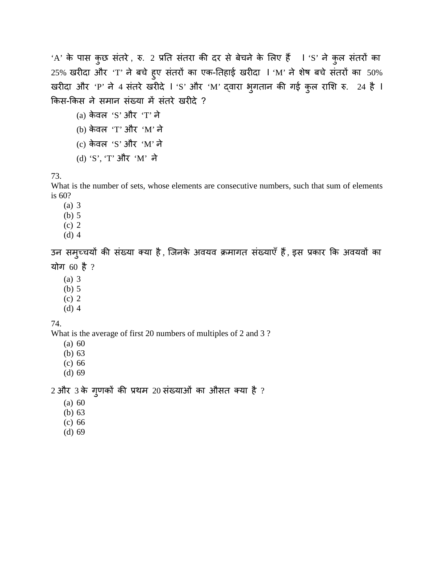'A' के पास कुछ संतरे, रु. 2 प्रति संतरा की दर से बेचने के लिए हैं  $\;$  I 'S' ने कुल संतरों का  $25%$  खरीदा और 'T' ने बचे हुए संतरों का एक-तिहाई खरीदा I 'M' ने शेष बचे संतरों का  $50\%$ खरीदा और 'P' ने 4 संतरे खरीदे l 'S' और 'M' द्वारा भुगतान की गई कुल राशि रु. 24 है l किस-किस ने समान संख्या में संतरे खरीदे ?

(a)केवल 'S' और 'T' ने (b)केवल 'T' और 'M' ने (c)केवल 'S' और 'M' ने (d) 'S', 'T' और 'M' ने

73.

What is the number of sets, whose elements are consecutive numbers, such that sum of elements is 60?

(a) 3

(b) 5

(c) 2

(d) 4

उन समुच्चयों की संख्या क्या है, जिनके अवयव क्रमागत संख्याएँ हैं, इस प्रकार कि अवयवों का योग 60 है ?

(a) 3

- (b) 5
- (c) 2
- (d) 4

74.

What is the average of first 20 numbers of multiples of 2 and 3 ?

(a) 60

(b) 63

(c) 66

(d) 69

 $2$  और  $3$  के गुणकों की प्रथम  $20$  संख्याओं का औसत क्या है ?

- (a) 60
- (b) 63
- (c) 66
- (d) 69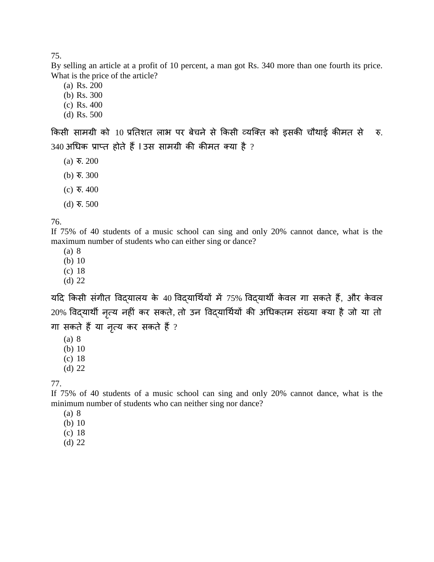By selling an article at a profit of 10 percent, a man got Rs. 340 more than one fourth its price. What is the price of the article?

(a) Rs. 200

(b) Rs. 300

- (c) Rs. 400
- (d) Rs. 500

किसी सामग्री को 10 प्रतिशत लाभ पर बेचने से किसी व्यक्ति को इसकी चौथाई कीमत से रु.  $340$  अधिक प्राप्त होते हैं । उस सामग्री की कीमत क्या है ?

- $(a)$   $\overline{6}$ . 200
- (b)  $\overline{\mathbf{v}}$ . 300
- (c) र. 400
- (d) र. 500

76.

If 75% of 40 students of a music school can sing and only 20% cannot dance, what is the maximum number of students who can either sing or dance?

(a) 8

- (b) 10
- (c) 18
- (d) 22

यदि किसी संगीत विदयालय के 40 विदयार्थियों में 75% विदयार्थी केवल गा सकते हैं, और केवल 20% विद्यार्थी नृत्य नहीं कर सकते, तो उन विद्यार्थियों की अधिकतम संख्या क्या है जो या तो गा सकते हैं या नृत्य कर सकते हैं ?

(a) 8

- (b) 10
- (c) 18
- (d) 22

77.

If 75% of 40 students of a music school can sing and only 20% cannot dance, what is the minimum number of students who can neither sing nor dance?

(a) 8

- (b) 10
- (c) 18
- (d) 22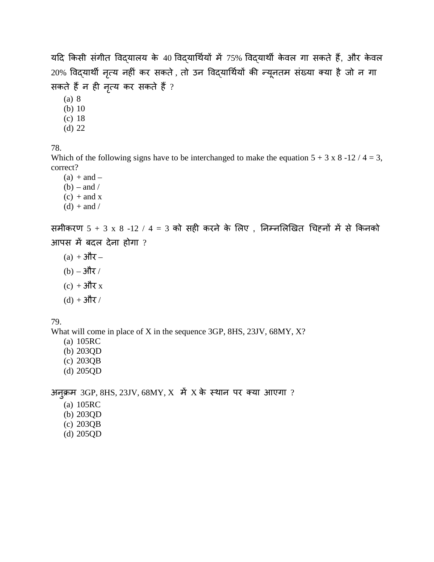यदि किसी संगीत विद्यालय के 40 विद्यार्थियों में 75% विद्यार्थी केवल गा सकते हैं, और केवल 20% विद्यार्थी नृत्य नहीं कर सकते, तो उन विद्यार्थियों की न्यूनतम संख्या क्या है जो न गा सकते हैं न ही नृत्य कर सकते हैं ?

(a) 8

(b) 10

(c) 18 (d) 22

78.

Which of the following signs have to be interchanged to make the equation  $5 + 3 \times 8 - 12 / 4 = 3$ , correct?

 $(a) + and (b)$  – and  $/$  $(c)$  + and x  $(d) +$  and /

समीकरण  $5 + 3$  x  $8 - 12 / 4 = 3$  को सही करने के लिए, निम्नलिखित चिहनों में से किनको आपस $\vec{a}$  बदल देना होगा ?

- $(a) + 3\pi$  –
- $(b) 3\pi$
- $(c) + 3\pi x$
- $(d) + 3\pi$

79.

What will come in place of X in the sequence 3GP, 8HS, 23JV, 68MY, X?

- (a) 105RC
- (b) 203QD
- (c) 203QB
- (d) 205QD

अनु क्3GP, 8HS, 23JV, 68MY, X म X के स्थान पर क्या आएग?

- (a) 105RC
- (b) 203QD
- (c) 203QB
- (d) 205QD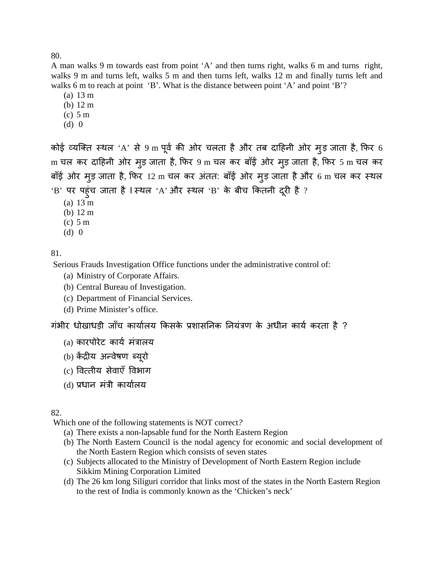A man walks 9 m towards east from point 'A' and then turns right, walks 6 m and turns right, walks 9 m and turns left, walks 5 m and then turns left, walks 12 m and finally turns left and walks 6 m to reach at point 'B'. What is the distance between point 'A' and point 'B'?

- (a) 13 m
- (b) 12 m
- (c) 5 m
- (d) 0

कोई व्यक्ति स्थल 'A' से 9 m पूर्व की ओर चलता है और तब दाहिनी ओर मुड़ जाता है, फिर 6 m चल कर दाहिनी ओर मुड़ जाता है, फिर 9 m चल कर बाँई ओर मुड़ जाता है, फिर 5 m चल कर बाँई ओर मुड़ जाता है, फिर 12 m चल कर अंतत: बाँई ओर मुड़ जाता है और 6 m चल कर स्थल 'B' पर पहुंच जाता है I स्थल 'A' और स्थल 'B' के बीच कितनी दूरी है ?

- (a) 13 m
- (b) 12 m
- (c) 5 m
- (d) 0

81.

Serious Frauds Investigation Office functions under the administrative control of:

- (a) Ministry of Corporate Affairs.
- (b) Central Bureau of Investigation.
- (c) Department of Financial Services.
- (d) Prime Minister's office.

गंभीर धोखाधड़ी जाँच कार्यालय किसके प्रशासनिक नियंत्रण के अधीन कार्य करता है ?

- $(a)$  कारपोरेट कार्य मंत्रालय
- (b) केंद्रीय अन्वेषण ब्यूरो
- (c) वत्तीसेवाएँ वभाग
- (d) प्रधान मंत्री कार्यालय

### 82.

Which one of the following statements is NOT correct*?*

- (a) There exists a non-lapsable fund for the North Eastern Region
- (b) The North Eastern Council is the nodal agency for economic and social development of the North Eastern Region which consists of seven states
- (c) Subjects allocated to the Ministry of Development of North Eastern Region include Sikkim Mining Corporation Limited
- (d) The 26 km long Siliguri corridor that links most of the states in the North Eastern Region to the rest of India is commonly known as the 'Chicken's neck'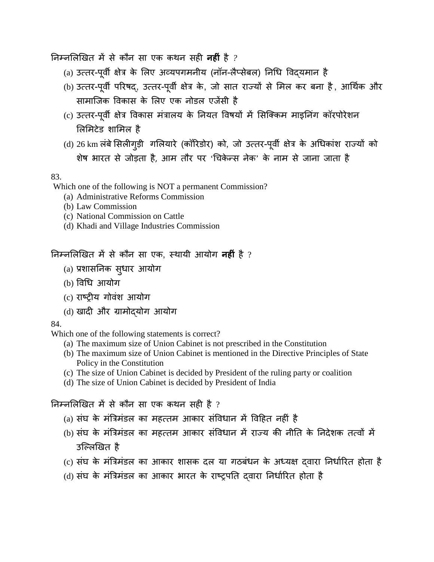�नम्न�ल�खमसेकौन सा एककथन सह� **नह�ं** है *?*

- (a) उत्तर-पूर्वी क्षेत्र के लिए अव्यपगमनीय (नॉन-लैप्सेबल) निधि विद्**यमान है**
- (b) उत्तर-पूर्वी परिषद्, उत्तर-पूर्वी क्षेत्र के, जो सात राज्यों से मिल कर बना है, आर्थिक और सामाजिक विकास के लिए एक नोडल एजेंसी है
- (c) उत्तर-पूर्वी क्षेत्र विकास मत्रालय के नियत विषयो में सिक्किम माइनिग कॉरपोरेशन लमटेडशामल है
- (d) 26 km लर्ब सिलीगुड़ी गलियारे (कॉरिडोर) को, जो उत्तर-पूर्वी क्षेत्र <u>शेष भारत से जोड़ता है, आम तौर पर 'चिकेन्स नेक' के नाम से जाना जाता है</u>

## 83.

Which one of the following is NOT a permanent Commission?

- (a) Administrative Reforms Commission
- (b) Law Commission
- (c) National Commission on Cattle
- (d) Khadi and Village Industries Commission

# �नम्न�ल�खमसेकौन सा एक, स्थायी आयोग**नह�ं** है ?

- (a) प्रशाससुधार आयोग
- (b) व�ध आयोग
- (c) राष्टीय गोवंश आयोग
- (d) खादी और ग्रामोदयोग आयोग

### 84.

Which one of the following statements is correct?

- (a) The maximum size of Union Cabinet is not prescribed in the Constitution
- (b) The maximum size of Union Cabinet is mentioned in the Directive Principles of State Policy in the Constitution
- (c) The size of Union Cabinet is decided by President of the ruling party or coalition
- (d) The size of Union Cabinet is decided by President of India

# निम्नलिखित में से कौन सा एक कथन सही है ?

- (a) संघ के मंत्रिमंडल का महत्तम आकार संविधान में विहित नहीं है
- (b) संघ के मंत्रिमंडल का महत्तम आकार संविधान में राज्य की नीति के निदेशक तत्वों में उल्लिखित है
- (c) संघ के मंत्रिमंडल का आकार शासक दल या गठबंधन के अध्यक्ष दवारा निर्धारित होता है
- (d) संघ के मंत्रिमंडल का आकार भारत के राष्ट्रपति दवारा निर्धारित होता है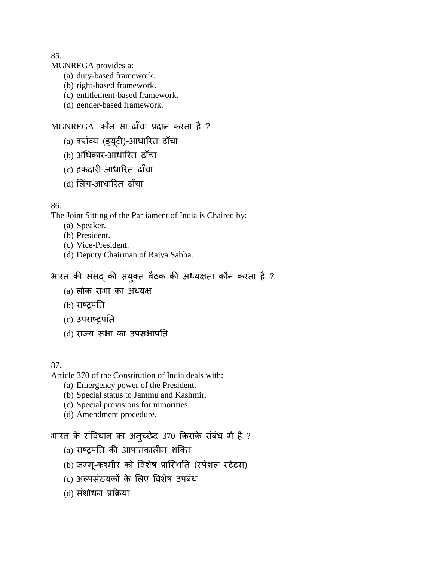MGNREGA provides a:

- (a) duty-based framework.
- (b) right-based framework.
- (c) entitlement-based framework.
- (d) gender-based framework.

# MGNREGA कौन सा ढाँचा प्रदान करता है ?

- (a) कर्तव्य (ड्यूटी)-आधारित ढाँचा
- (b) अ�धकार-आधारत ढाँचा
- (c) हकदार�-आधारत ढाँचा
- (d) लंग-आधारत ढाँचा

### 86.

The Joint Sitting of the Parliament of India is Chaired by:

- (a) Speaker.
- (b) President.
- (c) Vice-President.
- (d) Deputy Chairman of Rajya Sabha.

# भारत की संसद की संयुक्त बैठक की अध्यक्षता कौन करता है ?

- (a) लोक सभा का अध्यक्ष
- (b) राष्ट्र
- (c) उपराष्ट्र
- (d) राज्सभा का उपसभाप�त

## 87.

Article 370 of the Constitution of India deals with:

- (a) Emergency power of the President.
- (b) Special status to Jammu and Kashmir.
- (c) Special provisions for minorities.
- (d) Amendment procedure.

# भारत के संविधान का अनुच्छेद 370 किसके सबध में है ?

- $(a)$  राष्ट्रपति की आपातकालीन शक्ति
- (b) जम्मू-कश्मीर को विशेष प्रास्थिति (स्पेशल स्टेटस)
- (c) अल्पसंख्यकों के लिए विशेष उपबंध
- (d) संशोधन प्रक्रिया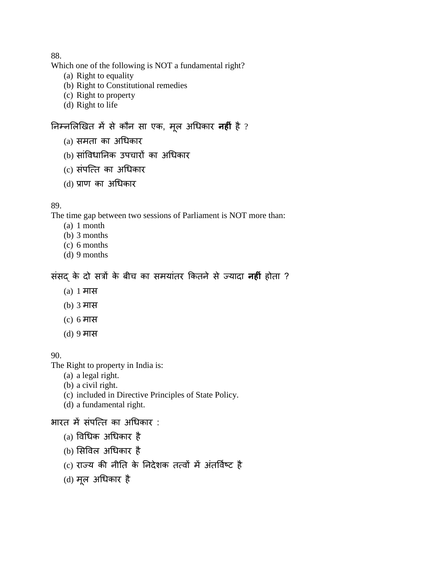Which one of the following is NOT a fundamental right?

- (a) Right to equality
- (b) Right to Constitutional remedies
- (c) Right to property
- (d) Right to life

# निम्नलिखित मे से कौन सा एक, मूल अधिकार **नही** है ?

- (a)समताका अ�धकार
- (b) सांविधानिक उपचारों का अधिकार
- (c)संपित्का अ�धकार
- (d) प्रका अ�धकार

### 89.

The time gap between two sessions of Parliament is NOT more than:

- (a) 1 month
- (b) 3 months
- (c) 6 months
- (d) 9 months

# संसदके दोसत्र के बीच का समयांतर कतने से ज्या**नह�ं** होता ?

- (a) 1 मास
- (b) 3 मास
- (c) 6 मास
- (d) 9 मास

### 90.

The Right to property in India is:

- (a) a legal right.
- (b) a civil right.
- (c) included in Directive Principles of State Policy.
- (d) a fundamental right.

# भारत में संपत्ति का अधिकार:

- $(a)$  विधिक अधिकार है
- (b) सिविल अधिकार है
- (c) राज्य की नीति के निदेशक तत्वों में अंतर्विष्ट है
- (d)मू ल अ�धकार है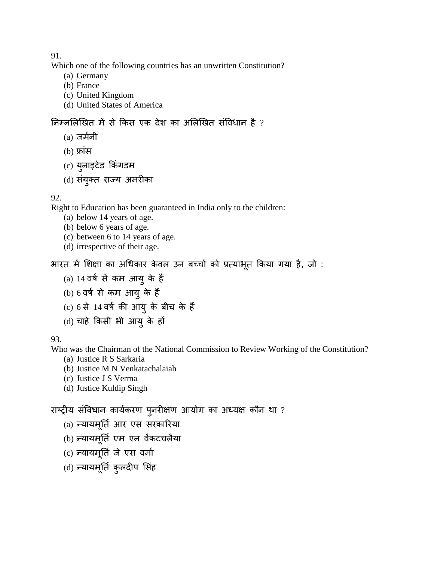Which one of the following countries has an unwritten Constitution?

- (a) Germany
- (b) France
- (c) United Kingdom
- (d) United States of America

# निम्नलिखित में से किस एक देश का अलिखित संविधान है ?

- $(a)$  जर्मनी
- $(b)$  फ्रांस
- (c) युनाइटेड किंगडम
- (d) संयुक्त राज्य अमरीका

### 92.

Right to Education has been guaranteed in India only to the children:

- (a) below 14 years of age.
- (b) below 6 years of age.
- (c) between 6 to 14 years of age.
- (d) irrespective of their age.

भारत में शिक्षा का अधिकार केवल उन बच्चों को प्रत्याभूत किया गया है, जो :

- (a)  $14$  वर्ष से कम आयु के हैं
- $(b)$  6 वर्ष से कम आयु के हैं
- $(c)$  6 से 14 वर्ष की आयु के बीच के हैं
- (d) चाहे किसी भी आयु के हों

# 93.

Who was the Chairman of the National Commission to Review Working of the Constitution?

- (a) Justice R S Sarkaria
- (b) Justice M N Venkatachalaiah
- (c) Justice J S Verma
- (d) Justice Kuldip Singh

# राष्ट्रीय संविधान कार्यकरण पुनरीक्षण आयोग का अध्यक्ष कौन था ?

- (a) न्यायमूर्ति आर एस सरकारिया
- (b) न्यायमूर्ति एम एन वेंकटचलैया
- (c) न्यायमूर्ति जे एस वर्मा
- (d) न्यायमूर्ति कुलदीप सिंह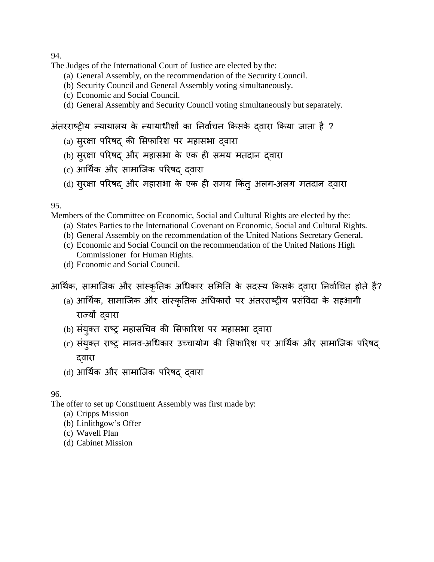The Judges of the International Court of Justice are elected by the:

- (a) General Assembly, on the recommendation of the Security Council.
- (b) Security Council and General Assembly voting simultaneously.
- (c) Economic and Social Council.
- (d) General Assembly and Security Council voting simultaneously but separately.

अंतरराष्ट्रीय न्यायालय के न्यायाधीशों का निर्वाचन किसके दवारा किया जाता है ?

- (a) सुरक्षा परिषद् की सिफारिश पर महासभा द्**वारा**
- (b) सुरक्षा परिषद् और महासभा के एक ही समय मतदान द्**वारा**
- (c) आर्थिक और सामाजिक परिषद दवारा
- (d) सुरक्षा परिषद और महासभा के एक ही समय किंतु अलग-अलग मतदान दवारा

95.

Members of the Committee on Economic, Social and Cultural Rights are elected by the:

- (a) States Parties to the International Covenant on Economic, Social and Cultural Rights.
- (b) General Assembly on the recommendation of the United Nations Secretary General.
- (c) Economic and Social Council on the recommendation of the United Nations High Commissioner for Human Rights.
- (d) Economic and Social Council.

आर्थिक, सामाजिक और सांस्कृतिक अधिकार समिति के सदस्य किसके दवारा निर्वाचित होते हैं?

- (a) आर्थिक, सामाजिक और सांस्कृतिक अधिकारों पर अंतरराष्ट्रीय प्रसंविदा के सहभागी राज्यों दवारा
- (b) संयुक्त राष्ट्र महासचिव की सिफारिश पर महासभा द्**वारा**
- (c) संयुक्त राष्ट्र मानव-अधिकार उच्चायोग की सिफारिश पर आर्थिक और सामाजिक परिषद् द्वारा
- (d) आ�थर्क और सामािजक परषद् द्व

96.

The offer to set up Constituent Assembly was first made by:

- (a) Cripps Mission
- (b) Linlithgow's Offer
- (c) Wavell Plan
- (d) Cabinet Mission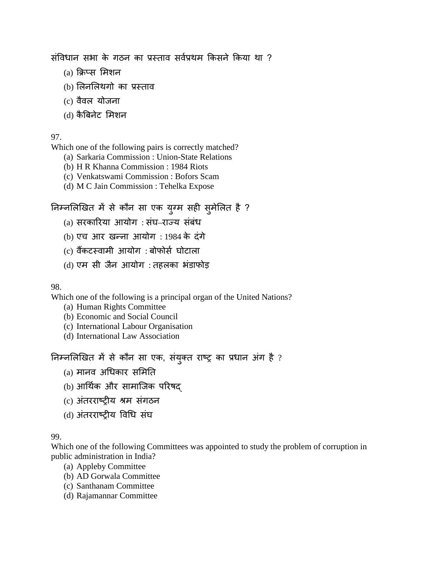संविधान सभा के गठन का प्रस्ताव सर्वप्रथम किसने किया था ?

- (a) क्रिप्स मिशन
- (b) लिनलिथगो का प्रस्ताव
- (c)वैवल योजना
- (d)कैबनेट मशन

### 97.

Which one of the following pairs is correctly matched?

- (a) Sarkaria Commission : Union-State Relations
- (b) H R Khanna Commission : 1984 Riots
- (c) Venkatswami Commission : Bofors Scam
- (d) M C Jain Commission : Tehelka Expose

# निम्नलिखित में से कौन सा एक युग्म सही सुमेलित है ?

- (a)सरकारया आयोग : संघ–राज्संबंध
- (b)एच आर खन्ना आयोग: 1984 के दंगे
- (c) वैंकटस्वामी आयोग : बोफोर्स घोटाला
- (d) एम सी जैन आयोग : तहलका भंडाफोड़

98.

Which one of the following is a principal organ of the United Nations?

- (a) Human Rights Committee
- (b) Economic and Social Council
- (c) International Labour Organisation
- (d) International Law Association

निम्नलिखित में से कौन सा एक, संयुक्त राष्ट्र का प्रधान अंग है ?

- (a) मानव अधिकार समिति
- (b) आर्थिक और सामाजिक परिषद्
- (c) अंतरराष्टीय श्रम संगठन
- (d) अंतरराष्टीय विधि संघ

### 99.

Which one of the following Committees was appointed to study the problem of corruption in public administration in India?

- (a) Appleby Committee
- (b) AD Gorwala Committee
- (c) Santhanam Committee
- (d) Rajamannar Committee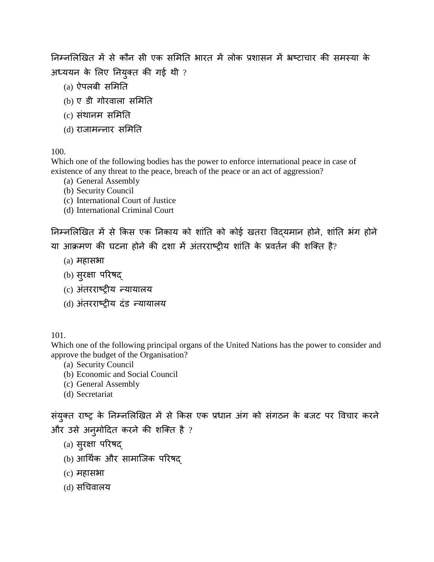निम्नलिखित में से कौन सी एक समिति भारत में लोक प्रशासन में भ्रष्टाचार की समस्या के अध्ययन के लिए नियुक्त की गई थी ?

- $(a)$  ऐपलबी समिति
- (b)एडी गोरवाला सम�त
- $(c)$  संथानम समिति
- (d) राजामन्नार समिति

# 100.

Which one of the following bodies has the power to enforce international peace in case of existence of any threat to the peace, breach of the peace or an act of aggression?

- (a) General Assembly
- (b) Security Council
- (c) International Court of Justice
- (d) International Criminal Court

निम्नलिखित में से किस एक निकाय को शांति को कोई खतरा विदयमान होने, शांति भंग होने या आक्रमण की घटना होने की दशा में अंतरराष्टीय शांति के प्रवर्तन की शक्ति है?

- $(a)$  महासभा
- (b)सुर�ा परषद्
- (c) अंतरराष्ट्रीय न्यायालय
- (d) अंतरराष्ट्रीय दंड न्यायालय

101.

Which one of the following principal organs of the United Nations has the power to consider and approve the budget of the Organisation?

- (a) Security Council
- (b) Economic and Social Council
- (c) General Assembly
- (d) Secretariat

संयुक्त राष्ट्र के निम्नलिखित में से किस एक प्रधान अंग को संगठन के बजट पर विचार करने और उसे अनुमोदित करने की शक्ति है ?

- (a)सुर�ा परषद्
- (b) आर्थिक और सामाजिक परिषद
- $(c)$  महासभा
- (d)स�चवालय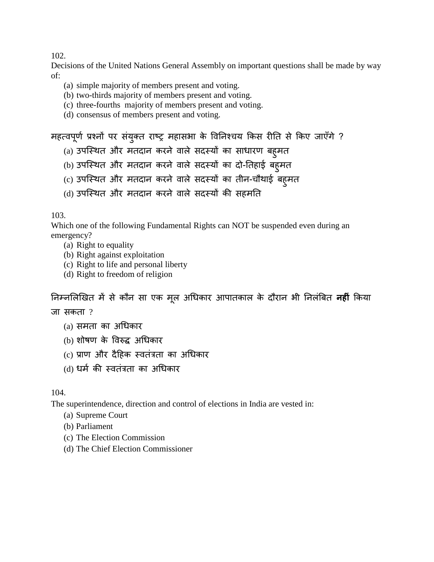Decisions of the United Nations General Assembly on important questions shall be made by way of:

- (a) simple majority of members present and voting.
- (b) two-thirds majority of members present and voting.
- (c) three-fourths majority of members present and voting.
- (d) consensus of members present and voting.

```
महत्वपूर्ण प्रश्नो पर सयुक्त राष्ट्र महासभा के विनिश्चय किस रीति से किए जाएंगे ?
```
- (a) उपस्थित और मतदान करने वाले सदस्यों का साधारण बहुमत
- (b) उपस्थित और मतदान करने वाले सदस्यों का दो-तिहाई बह्**मत**
- (c) उपस्थित और मतदान करने वाले सदस्यों का तीन-चौथाई बह्मत
- (d) उपस्थित और मतदान करने वाले सदस्यों की सहमति

103.

Which one of the following Fundamental Rights can NOT be suspended even during an emergency?

- (a) Right to equality
- (b) Right against exploitation
- (c) Right to life and personal liberty
- (d) Right to freedom of religion

निम्नलिखित में से कौन सा एक मूल अधिकार आपातकाल के दौरान भी निलंबित **नही** किया

जा सकता ?

- (a)समताका अ�धकार
- (b) शोषण के विरुद्ध अधिकार
- (c) प्राण और दैहिक स्वतंत्रता का अधिकार
- (d) धर्म की स्वतंत्रता का अधिकार

104.

The superintendence, direction and control of elections in India are vested in:

- (a) Supreme Court
- (b) Parliament
- (c) The Election Commission
- (d) The Chief Election Commissioner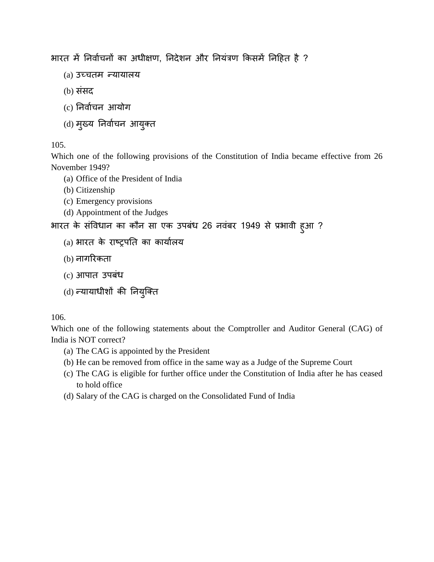भारत में निर्वाचनों का अधीक्षण, निदेशन और नियंत्रण किसमें निहित है ?

- (a) उच्चतन्यायालय
- (b)संसद
- (c) �नवार्च आयोग
- (d) मुख्य निर्वाचन आयुक्त

## 105.

Which one of the following provisions of the Constitution of India became effective from 26 November 1949?

- (a) Office of the President of India
- (b) Citizenship
- (c) Emergency provisions
- (d) Appointment of the Judges

भारत के संविधान का कौन सा एक उपबंध 26 नवंबर 1949 से प्रभावी हुआ ?

- $(a)$  भारत के राष्ट्रपति का कार्यालय
- (b) नागरकता
- (c) आपात उपबंध
- $(d)$  न्यायाधीशों की नियुक्ति

### 106.

Which one of the following statements about the Comptroller and Auditor General (CAG) of India is NOT correct?

- (a) The CAG is appointed by the President
- (b) He can be removed from office in the same way as a Judge of the Supreme Court
- (c) The CAG is eligible for further office under the Constitution of India after he has ceased to hold office
- (d) Salary of the CAG is charged on the Consolidated Fund of India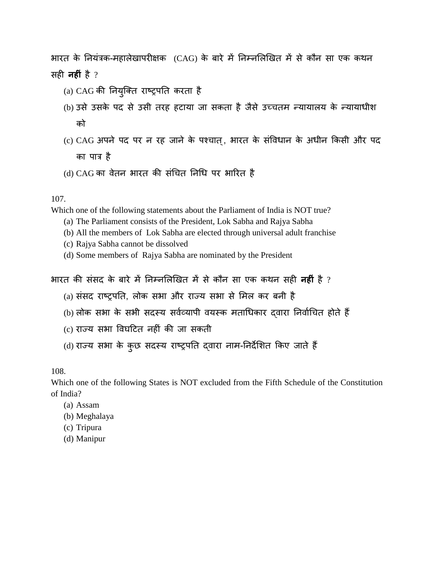भारत के नियंत्रक-महालेखापरीक्षक (CAG) के बारे में निम्नलिखित में से कौन सा एक कथन सह� **नह�ं** है ?

- (a) CAG की नियुक्ति राष्ट्रपति करता है
- (b) उसे उसके पद से उसी तरह हटाया जा सकता है जैसे उच्चतम न्यायालय के न्यायाधीश को
- (c) CAG अपने पद पर न रह जाने के पश्चात्, भारत के संविधान के अधीन किसी और पद का पात्र ह
- (d) CAG का वेतन भारत की संचित निधि पर भारित है

107.

Which one of the following statements about the Parliament of India is NOT true?

- (a) The Parliament consists of the President, Lok Sabha and Rajya Sabha
- (b) All the members of Lok Sabha are elected through universal adult franchise
- (c) Rajya Sabha cannot be dissolved
- (d) Some members of Rajya Sabha are nominated by the President

भारत की संसद के बारे में निम्नलिखित में से कौन सा एक कथन सही **नहीं** है ?

- (a) संसद राष्ट्रपति, लोक सभा और राज्य सभा से मिल कर बनी है
- (b) लोक सभा के सभी सदस्य सर्वव्यापी वयस्क मताधिकार दवारा निर्वाचित होते हैं
- (c) राज्य सभा विघटित नहीं की जा सकती
- (d) राज्य सभा के कुछ सदस्य राष्ट्रपति द्वारा नाम-निर्देशित किए जाते हैं

108.

Which one of the following States is NOT excluded from the Fifth Schedule of the Constitution of India?

- (a) Assam
- (b) Meghalaya
- (c) Tripura
- (d) Manipur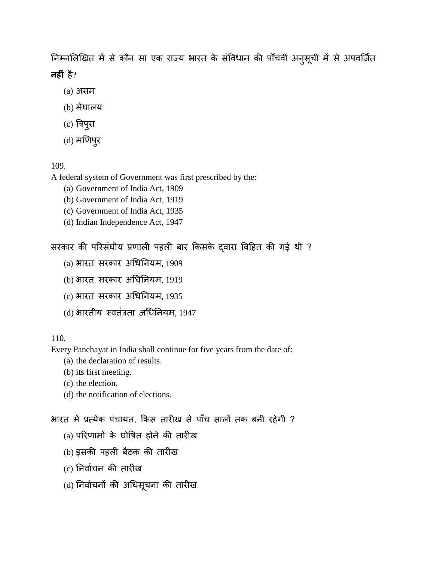निम्नलिखित में से कौन सा एक राज्य भारत के संविधान की पाँचवीं अनुसूची में से अपवर्जित **नह�ं** है?

- (a) असम
- (b)मेघालय
- (c)त्रपु
- (d)मणपुर

109.

A federal system of Government was first prescribed by the:

- (a) Government of India Act, 1909
- (b) Government of India Act, 1919
- (c) Government of India Act, 1935
- (d) Indian Independence Act, 1947

सरकार की परिसंघीय प्रणाली पहली बार किसके दवारा विहित की गई थी ?

- (a) भारतसरकार अ�ध�नयम, 1909
- (b) भारतसरकार अ�ध�नयम, 1919
- (c) भारतसरकार अ�ध�नयम, 1935
- $(d)$  भारतीय स्वतंत्रता अधिनियम, 1947

### 110.

Every Panchayat in India shall continue for five years from the date of:

- (a) the declaration of results.
- (b) its first meeting.
- (c) the election.
- (d) the notification of elections.

भारत में प्रत्येक पंचायत, किस तारीख से पाँच सालों तक बनी रहेगी ?

- $(a)$  परिणामों के घोषित होने की तारीख
- (b) इसकी पहली बैठक की तारीख
- (c) �नवार्चक तार�ख
- (d) निर्वाचनों की अधिसूचना की तारीख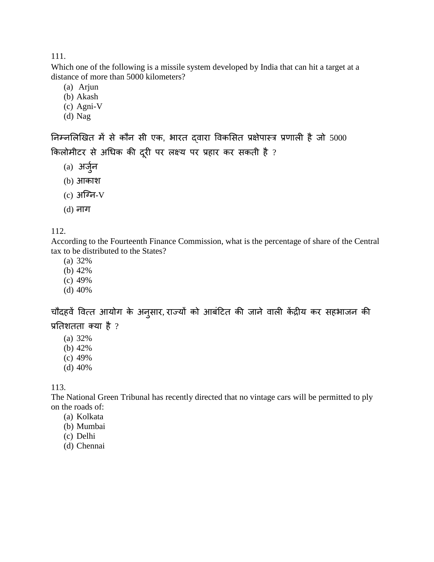Which one of the following is a missile system developed by India that can hit a target at a distance of more than 5000 kilometers?

(a) Arjun

- (b) Akash
- (c) Agni-V
- (d) Nag

निम्नलिखित में से कौन सी एक, भारत दवारा विकसित प्रक्षेपास्त्र प्रणाली है जो 5000 किलोमीटर से अधिक की दूरी पर लक्ष्य पर प्रहार कर सकती है ?

- (a) अजु ्र
- (b) आकाश
- $(c)$  अग्नि-V
- (d) नाग

### 112.

According to the Fourteenth Finance Commission, what is the percentage of share of the Central tax to be distributed to the States?

(a) 32%

- (b) 42%
- (c) 49%
- (d) 40%

चौदहवें वित्त आयोग के अनुसार, राज्यों को आबंटित की जाने वाली केंद्रीय कर सहभाजन की प्रतिशतता क्या है $?$ 

- (a) 32%
- (b) 42%
- (c) 49%
- (d) 40%

113.

The National Green Tribunal has recently directed that no vintage cars will be permitted to ply on the roads of:

- (a) Kolkata
- (b) Mumbai
- (c) Delhi
- (d) Chennai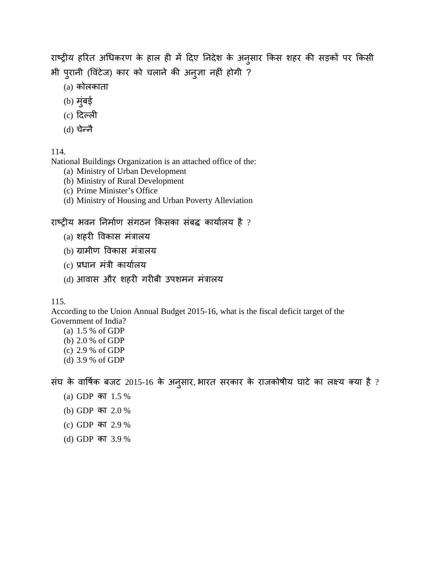राष्ट्रीय हरित अधिकरण के हाल ही में दिए निदेश के अनुसार किस शहर की सड़कों पर किसी भी पुरानी (विटेज) कार को चलाने की अनुज्ञा नहीं होगी ?

- $(a)$  कोलकाता
- (b)मुंबई
- $(c)$  दिल्ली
- $(d)$  चेन्नै

114.

National Buildings Organization is an attached office of the:

- (a) Ministry of Urban Development
- (b) Ministry of Rural Development
- (c) Prime Minister's Office
- (d) Ministry of Housing and Urban Poverty Alleviation

राष्ट्रीय भवन निर्माण संगठन किसका संबद्ध कार्यालय है ?

- $(a)$  शहरी विकास मंत्रालय
- (b) ग्रामीण विकास मंत्रालय
- (c) प्रधान मंत्री कार्यालय
- (d) आवास और शहरी गरीबी उपशमन मंत्रालय

115.

According to the Union Annual Budget 2015-16, what is the fiscal deficit target of the Government of India?

(a) 1.5 % of GDP (b) 2.0 % of GDP (c) 2.9 % of GDP (d) 3.9 % of GDP

संघ के वार्षिक बजट 2015-16 के अनुसार, भारत सरकार के राजकोषीय घाटे का लक्ष्य क्या है ?

- (a) GDPका 1.5 %
- (b) GDPका 2.0 %
- (c) GDPका 2.9 %
- (d) GDPका 3.9 %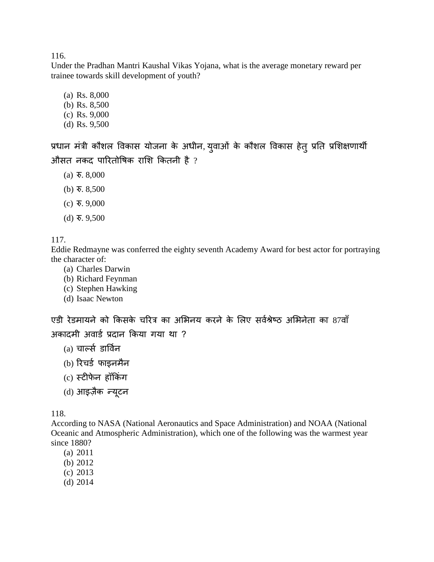Under the Pradhan Mantri Kaushal Vikas Yojana, what is the average monetary reward per trainee towards skill development of youth?

- (a) Rs. 8,000
- (b) Rs. 8,500
- (c) Rs. 9,000
- (d) Rs. 9,500

प्रधान मंत्री कौशल विकास योजना के अधीन, युवाओं के कौशल विकास हेतु प्रति प्रशिक्षणार्थी औसत नकद पारितोषिक राशि कितनी है ?

- (a) र. 8,000
- (b) र. 8,500
- (c) र. 9,000
- (d) र. 9,500

117.

Eddie Redmayne was conferred the eighty seventh Academy Award for best actor for portraying the character of:

- (a) Charles Darwin
- (b) Richard Feynman
- (c) Stephen Hawking
- (d) Isaac Newton

एडी रेडमायने को किसके चरित्र का अभिनय करने के लिए सर्वश्रेष्ठ अभिनेता का 87वाँ अकादमी अवार्ड प्रदान किया गया था ?

- (a) चाल्स डाव्नर
- (b) रिचर्ड फाइनमैन
- (c) स्टीफेन हॉकिंग
- (d) आइज़ैक *न्यूटन*

118.

According to NASA (National Aeronautics and Space Administration) and NOAA (National Oceanic and Atmospheric Administration), which one of the following was the warmest year since 1880?

- (a) 2011
- (b) 2012
- (c) 2013
- (d) 2014